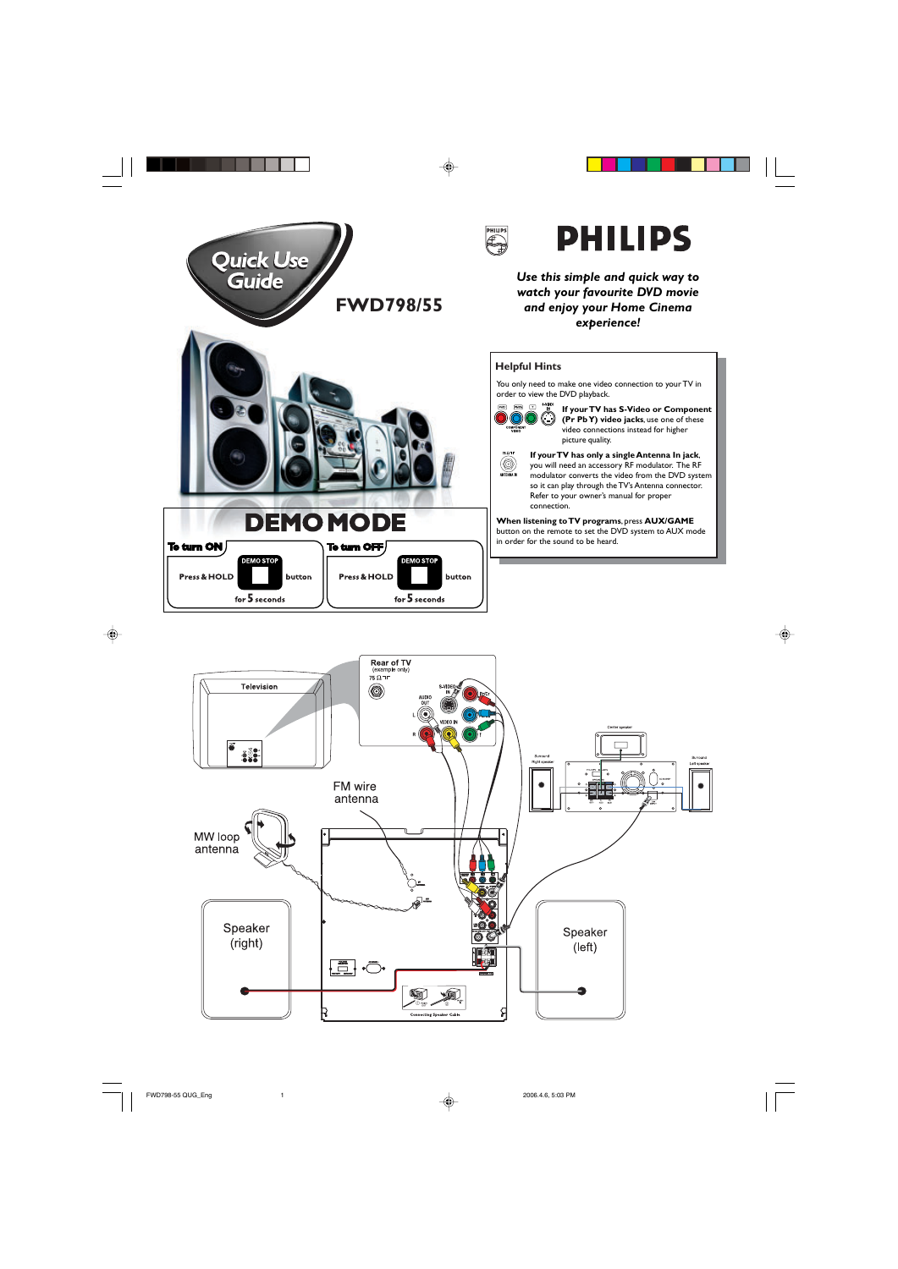